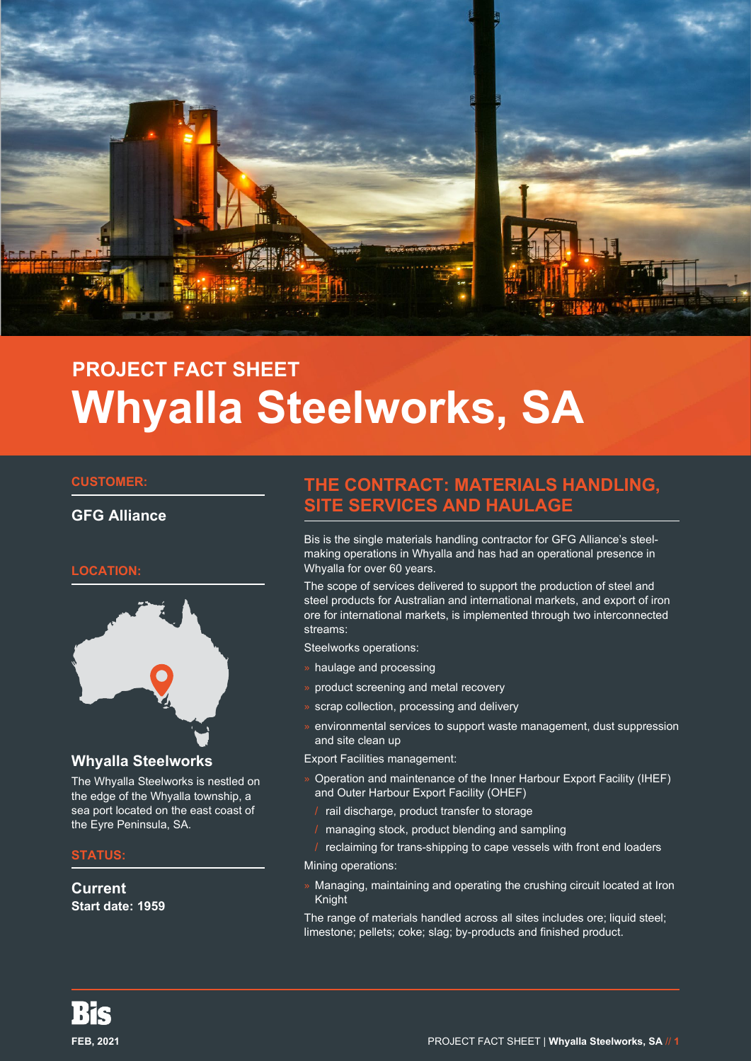

# **PROJECT FACT SHEET Whyalla Steelworks, SA**

#### **CUSTOMER:**

**GFG Alliance**

#### **LOCATION:**



#### **Whyalla Steelworks**

The Whyalla Steelworks is nestled on the edge of the Whyalla township, a sea port located on the east coast of the Eyre Peninsula, SA.

#### **STATUS:**

**Current Start date: 1959**

## **THE CONTRACT: MATERIALS HANDLING, SITE SERVICES AND HAULAGE**

Bis is the single materials handling contractor for GFG Alliance's steelmaking operations in Whyalla and has had an operational presence in Whyalla for over 60 years.

The scope of services delivered to support the production of steel and steel products for Australian and international markets, and export of iron ore for international markets, is implemented through two interconnected streams:

Steelworks operations:

- haulage and processing
- » product screening and metal recovery
- scrap collection, processing and delivery
- » environmental services to support waste management, dust suppression and site clean up

Export Facilities management:

- » Operation and maintenance of the Inner Harbour Export Facility (IHEF) and Outer Harbour Export Facility (OHEF)
	- / rail discharge, product transfer to storage
- / managing stock, product blending and sampling
- reclaiming for trans-shipping to cape vessels with front end loaders

Mining operations:

» Managing, maintaining and operating the crushing circuit located at Iron Knight

The range of materials handled across all sites includes ore; liquid steel; limestone; pellets; coke; slag; by-products and finished product.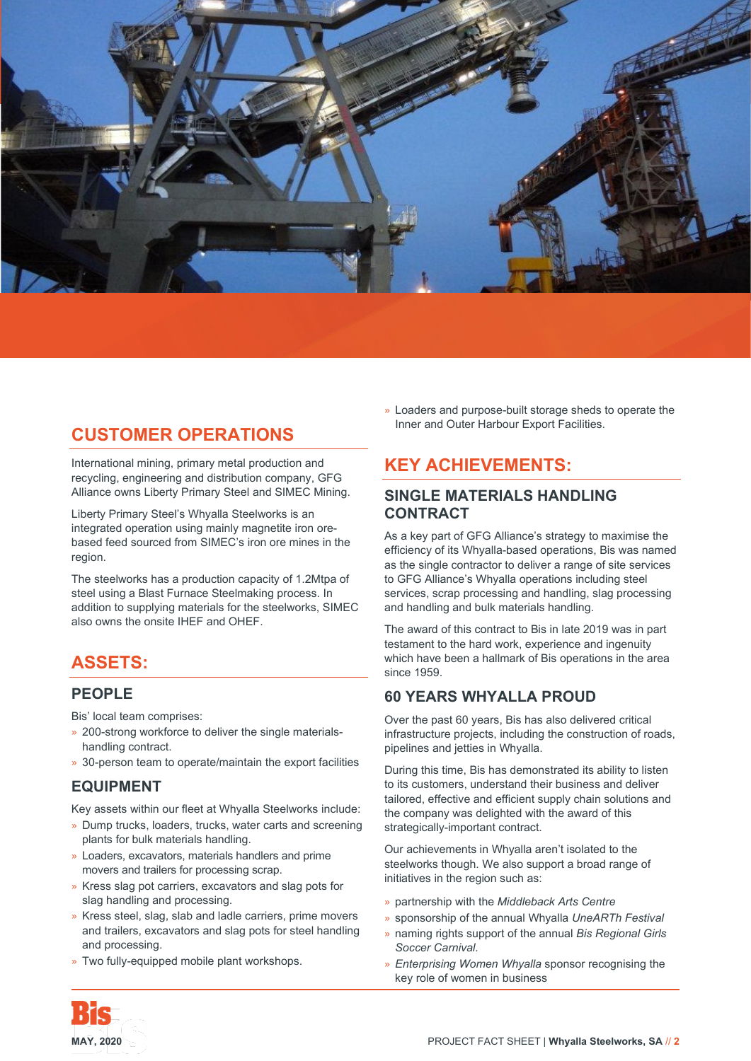

# **CUSTOMER OPERATIONS**

International mining, primary metal production and recycling, engineering and distribution company, GFG Alliance owns Liberty Primary Steel and SIMEC Mining.

Liberty Primary Steel's Whyalla Steelworks is an integrated operation using mainly magnetite iron orebased feed sourced from SIMEC's iron ore mines in the region.

The steelworks has a production capacity of 1.2Mtpa of steel using a Blast Furnace Steelmaking process. In addition to supplying materials for the steelworks, SIMEC also owns the onsite IHEF and OHEF.

# **ASSETS:**

#### **PEOPLE**

Bis' local team comprises:

- » 200-strong workforce to deliver the single materialshandling contract.
- » 30-person team to operate/maintain the export facilities

## **EQUIPMENT**

Key assets within our fleet at Whyalla Steelworks include:

- » Dump trucks, loaders, trucks, water carts and screening plants for bulk materials handling.
- » Loaders, excavators, materials handlers and prime movers and trailers for processing scrap.
- » Kress slag pot carriers, excavators and slag pots for slag handling and processing.
- » Kress steel, slag, slab and ladle carriers, prime movers and trailers, excavators and slag pots for steel handling and processing.
- » Two fully-equipped mobile plant workshops.

» Loaders and purpose-built storage sheds to operate the Inner and Outer Harbour Export Facilities.

# **KEY ACHIEVEMENTS:**

#### **SINGLE MATERIALS HANDLING CONTRACT**

As a key part of GFG Alliance's strategy to maximise the efficiency of its Whyalla-based operations, Bis was named as the single contractor to deliver a range of site services to GFG Alliance's Whyalla operations including steel services, scrap processing and handling, slag processing and handling and bulk materials handling.

The award of this contract to Bis in late 2019 was in part testament to the hard work, experience and ingenuity which have been a hallmark of Bis operations in the area since 1959.

## **60 YEARS WHYALLA PROUD**

Over the past 60 years, Bis has also delivered critical infrastructure projects, including the construction of roads, pipelines and jetties in Whyalla.

During this time, Bis has demonstrated its ability to listen to its customers, understand their business and deliver tailored, effective and efficient supply chain solutions and the company was delighted with the award of this strategically-important contract.

Our achievements in Whyalla aren't isolated to the steelworks though. We also support a broad range of initiatives in the region such as:

- » partnership with the *Middleback Arts Centre*
- » sponsorship of the annual Whyalla *UneARTh Festival*
- » naming rights support of the annual *Bis Regional Girls Soccer Carnival.*
- » *Enterprising Women Whyalla* sponsor recognising the key role of women in business